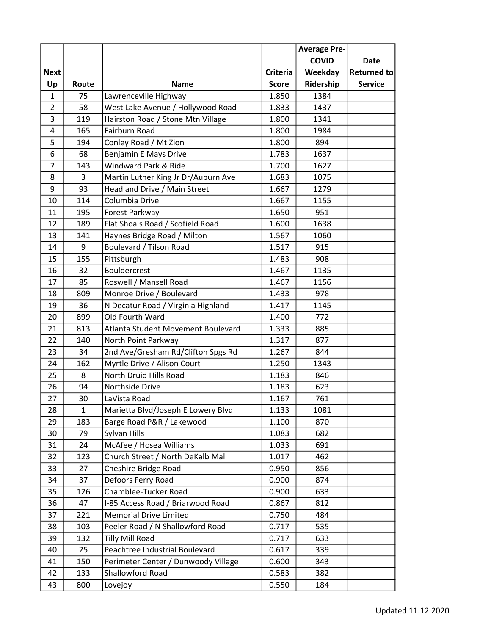|                |              |                                     |                 | <b>Average Pre-</b> |                |
|----------------|--------------|-------------------------------------|-----------------|---------------------|----------------|
|                |              |                                     |                 | <b>COVID</b>        | Date           |
| <b>Next</b>    |              |                                     | <b>Criteria</b> | Weekday             | Returned to    |
| Up             | Route        | <b>Name</b>                         | <b>Score</b>    | Ridership           | <b>Service</b> |
| 1              | 75           | Lawrenceville Highway               | 1.850           | 1384                |                |
| $\overline{2}$ | 58           | West Lake Avenue / Hollywood Road   | 1.833           | 1437                |                |
| 3              | 119          | Hairston Road / Stone Mtn Village   | 1.800           | 1341                |                |
| 4              | 165          | Fairburn Road                       | 1.800           | 1984                |                |
| 5              | 194          | Conley Road / Mt Zion               | 1.800           | 894                 |                |
| 6              | 68           | Benjamin E Mays Drive               | 1.783           | 1637                |                |
| $\overline{7}$ | 143          | Windward Park & Ride                | 1.700           | 1627                |                |
| 8              | 3            | Martin Luther King Jr Dr/Auburn Ave | 1.683           | 1075                |                |
| 9              | 93           | Headland Drive / Main Street        | 1.667           | 1279                |                |
| 10             | 114          | Columbia Drive                      | 1.667           | 1155                |                |
| 11             | 195          | Forest Parkway                      | 1.650           | 951                 |                |
| 12             | 189          | Flat Shoals Road / Scofield Road    | 1.600           | 1638                |                |
| 13             | 141          | Haynes Bridge Road / Milton         | 1.567           | 1060                |                |
| 14             | 9            | Boulevard / Tilson Road             | 1.517           | 915                 |                |
| 15             | 155          | Pittsburgh                          | 1.483           | 908                 |                |
| 16             | 32           | <b>Bouldercrest</b>                 | 1.467           | 1135                |                |
| 17             | 85           | Roswell / Mansell Road              | 1.467           | 1156                |                |
| 18             | 809          | Monroe Drive / Boulevard            | 1.433           | 978                 |                |
| 19             | 36           | N Decatur Road / Virginia Highland  | 1.417           | 1145                |                |
| 20             | 899          | Old Fourth Ward                     | 1.400           | 772                 |                |
| 21             | 813          | Atlanta Student Movement Boulevard  | 1.333           | 885                 |                |
| 22             | 140          | North Point Parkway                 | 1.317           | 877                 |                |
| 23             | 34           | 2nd Ave/Gresham Rd/Clifton Spgs Rd  | 1.267           | 844                 |                |
| 24             | 162          | Myrtle Drive / Alison Court         | 1.250           | 1343                |                |
| 25             | 8            | North Druid Hills Road              | 1.183           | 846                 |                |
| 26             | 94           | Northside Drive                     | 1.183           | 623                 |                |
| 27             | 30           | LaVista Road                        | 1.167           | 761                 |                |
| 28             | $\mathbf{1}$ | Marietta Blvd/Joseph E Lowery Blvd  | 1.133           | 1081                |                |
| 29             | 183          | Barge Road P&R / Lakewood           | 1.100           | 870                 |                |
| 30             | 79           | Sylvan Hills                        | 1.083           | 682                 |                |
| 31             | 24           | McAfee / Hosea Williams             | 1.033           | 691                 |                |
| 32             | 123          | Church Street / North DeKalb Mall   | 1.017           | 462                 |                |
| 33             | 27           | Cheshire Bridge Road                | 0.950           | 856                 |                |
| 34             | 37           | Defoors Ferry Road                  | 0.900           | 874                 |                |
| 35             | 126          | Chamblee-Tucker Road                | 0.900           | 633                 |                |
| 36             | 47           | I-85 Access Road / Briarwood Road   | 0.867           | 812                 |                |
| 37             | 221          | <b>Memorial Drive Limited</b>       | 0.750           | 484                 |                |
| 38             | 103          | Peeler Road / N Shallowford Road    | 0.717           | 535                 |                |
| 39             | 132          | <b>Tilly Mill Road</b>              | 0.717           | 633                 |                |
| 40             | 25           | Peachtree Industrial Boulevard      | 0.617           | 339                 |                |
| 41             | 150          | Perimeter Center / Dunwoody Village | 0.600           | 343                 |                |
| 42             | 133          | Shallowford Road                    | 0.583           | 382                 |                |
| 43             | 800          | Lovejoy                             | 0.550           | 184                 |                |